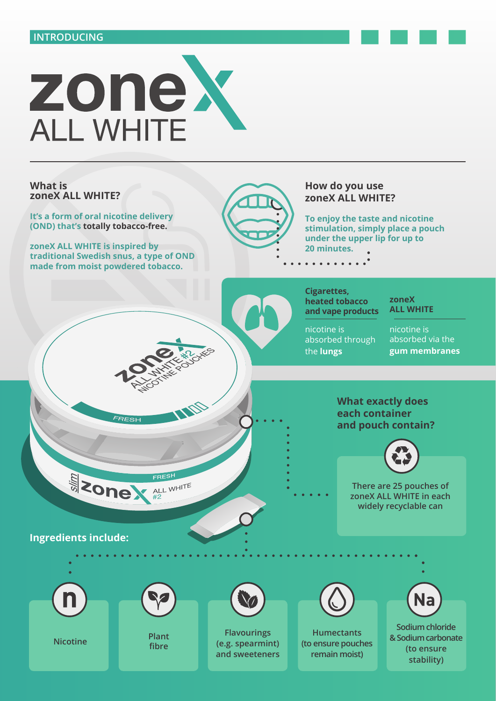

**What is zoneX ALL WHITE?**

**It's a form of oral nicotine delivery (OND) that's totally tobacco-free.**

**zoneX ALL WHITE is inspired by traditional Swedish snus, a type of OND made from moist powdered tobacco.** 

REOL



#### **How do you use zoneX ALL WHITE?**

**To enjoy the taste and nicotine stimulation, simply place a pouch under the upper lip for up to 20 minutes.**

**Cigarettes, heated tobacco and vape products**

**zoneX ALL WHITE**

nicotine is absorbed through the **lungs**

nicotine is absorbed via the **gum membranes**

### **What exactly does each container and pouch contain?**



**There are 25 pouches of zoneX ALL WHITE in each widely recyclable can**

**Ingredients include:**

ER Zone



**Nicotine fibre** 



**RESH** ALL WHITE

**Plant**



**Flavourings (e.g. spearmint) and sweeteners**



**Humectants (to ensure pouches remain moist)**



**Sodium chloride & Sodium carbonate (to ensure stability)**